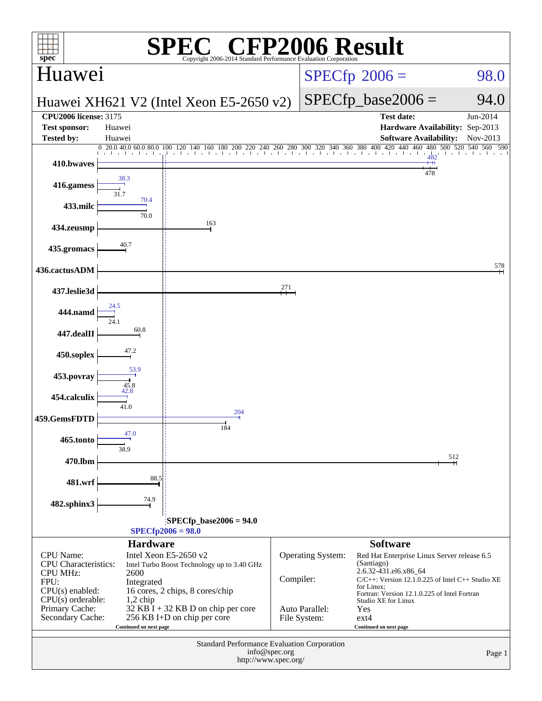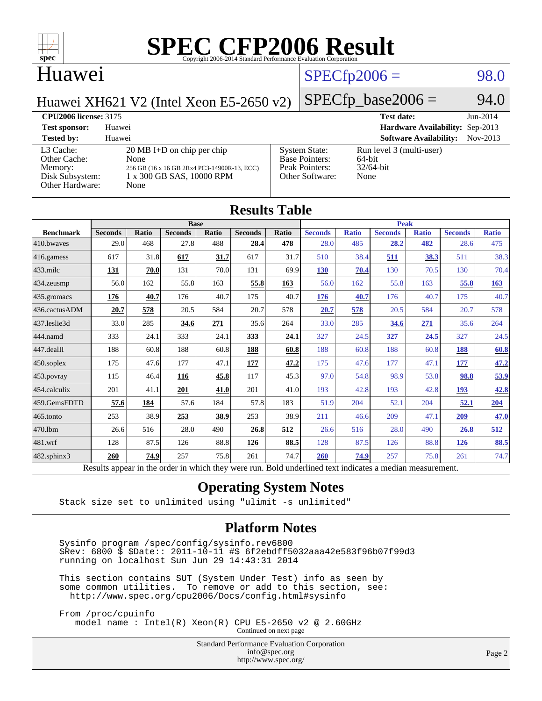

#### Huawei

#### $SPECfp2006 = 98.0$  $SPECfp2006 = 98.0$

Huawei XH621 V2 (Intel Xeon E5-2650 v2)

### $SPECfp\_base2006 = 94.0$

| <b>CPU2006 license: 3175</b>                                               |                                                                                                                                  | <b>Test date:</b>                                                                  | $Jun-2014$                                                 |            |
|----------------------------------------------------------------------------|----------------------------------------------------------------------------------------------------------------------------------|------------------------------------------------------------------------------------|------------------------------------------------------------|------------|
| <b>Test sponsor:</b>                                                       | Huawei                                                                                                                           | Hardware Availability: Sep-2013                                                    |                                                            |            |
| <b>Tested by:</b>                                                          | Huawei                                                                                                                           |                                                                                    | <b>Software Availability:</b>                              | $Nov-2013$ |
| L3 Cache:<br>Other Cache:<br>Memory:<br>Disk Subsystem:<br>Other Hardware: | $20 \text{ MB I+D}$ on chip per chip<br>None<br>256 GB (16 x 16 GB 2Rx4 PC3-14900R-13, ECC)<br>1 x 300 GB SAS, 10000 RPM<br>None | <b>System State:</b><br><b>Base Pointers:</b><br>Peak Pointers:<br>Other Software: | Run level 3 (multi-user)<br>64-bit<br>$32/64$ -bit<br>None |            |

| <b>Results Table</b> |                                                                                                          |              |                |       |                |             |                |              |                |              |                |              |
|----------------------|----------------------------------------------------------------------------------------------------------|--------------|----------------|-------|----------------|-------------|----------------|--------------|----------------|--------------|----------------|--------------|
|                      | <b>Base</b>                                                                                              |              |                |       |                | <b>Peak</b> |                |              |                |              |                |              |
| <b>Benchmark</b>     | <b>Seconds</b>                                                                                           | <b>Ratio</b> | <b>Seconds</b> | Ratio | <b>Seconds</b> | Ratio       | <b>Seconds</b> | <b>Ratio</b> | <b>Seconds</b> | <b>Ratio</b> | <b>Seconds</b> | <b>Ratio</b> |
| 410.bwayes           | 29.0                                                                                                     | 468          | 27.8           | 488   | 28.4           | 478         | 28.0           | 485          | 28.2           | 482          | 28.6           | 475          |
| 416.gamess           | 617                                                                                                      | 31.8         | 617            | 31.7  | 617            | 31.7        | 510            | 38.4         | 511            | 38.3         | 511            | 38.3         |
| $433$ .milc          | 131                                                                                                      | 70.0         | 131            | 70.0  | 131            | 69.9        | 130            | 70.4         | 130            | 70.5         | 130            | 70.4         |
| 434.zeusmp           | 56.0                                                                                                     | 162          | 55.8           | 163   | 55.8           | 163         | 56.0           | 162          | 55.8           | 163          | 55.8           | 163          |
| 435 gromacs          | 176                                                                                                      | 40.7         | 176            | 40.7  | 175            | 40.7        | 176            | 40.7         | 176            | 40.7         | 175            | 40.7         |
| 436.cactusADM        | 20.7                                                                                                     | 578          | 20.5           | 584   | 20.7           | 578         | 20.7           | 578          | 20.5           | 584          | 20.7           | 578          |
| 437.leslie3d         | 33.0                                                                                                     | 285          | 34.6           | 271   | 35.6           | 264         | 33.0           | 285          | 34.6           | 271          | 35.6           | 264          |
| 444.namd             | 333                                                                                                      | 24.1         | 333            | 24.1  | 333            | 24.1        | 327            | 24.5         | 327            | 24.5         | 327            | 24.5         |
| 447.dealII           | 188                                                                                                      | 60.8         | 188            | 60.8  | 188            | 60.8        | 188            | 60.8         | 188            | 60.8         | 188            | 60.8         |
| 450.soplex           | 175                                                                                                      | 47.6         | 177            | 47.1  | 177            | 47.2        | 175            | 47.6         | 177            | 47.1         | 177            | 47.2         |
| 453.povray           | 115                                                                                                      | 46.4         | 116            | 45.8  | 117            | 45.3        | 97.0           | 54.8         | 98.9           | 53.8         | 98.8           | 53.9         |
| 454.calculix         | 201                                                                                                      | 41.1         | 201            | 41.0  | 201            | 41.0        | 193            | 42.8         | 193            | 42.8         | 193            | 42.8         |
| 459.GemsFDTD         | 57.6                                                                                                     | 184          | 57.6           | 184   | 57.8           | 183         | 51.9           | 204          | 52.1           | 204          | 52.1           | 204          |
| 465.tonto            | 253                                                                                                      | 38.9         | 253            | 38.9  | 253            | 38.9        | 211            | 46.6         | 209            | 47.1         | 209            | 47.0         |
| 470.1bm              | 26.6                                                                                                     | 516          | 28.0           | 490   | 26.8           | 512         | 26.6           | 516          | 28.0           | 490          | 26.8           | 512          |
| 481.wrf              | 128                                                                                                      | 87.5         | 126            | 88.8  | 126            | 88.5        | 128            | 87.5         | 126            | 88.8         | 126            | 88.5         |
| 482.sphinx3          | 260                                                                                                      | 74.9         | 257            | 75.8  | 261            | 74.7        | 260            | 74.9         | 257            | 75.8         | 261            | 74.7         |
|                      | Results appear in the order in which they were run. Bold underlined text indicates a median measurement. |              |                |       |                |             |                |              |                |              |                |              |

#### **[Operating System Notes](http://www.spec.org/auto/cpu2006/Docs/result-fields.html#OperatingSystemNotes)**

Stack size set to unlimited using "ulimit -s unlimited"

#### **[Platform Notes](http://www.spec.org/auto/cpu2006/Docs/result-fields.html#PlatformNotes)**

 Sysinfo program /spec/config/sysinfo.rev6800 \$Rev: 6800 \$ \$Date:: 2011-10-11 #\$ 6f2ebdff5032aaa42e583f96b07f99d3 running on localhost Sun Jun 29 14:43:31 2014

 This section contains SUT (System Under Test) info as seen by some common utilities. To remove or add to this section, see: <http://www.spec.org/cpu2006/Docs/config.html#sysinfo>

 From /proc/cpuinfo model name : Intel(R) Xeon(R) CPU E5-2650 v2 @ 2.60GHz

Continued on next page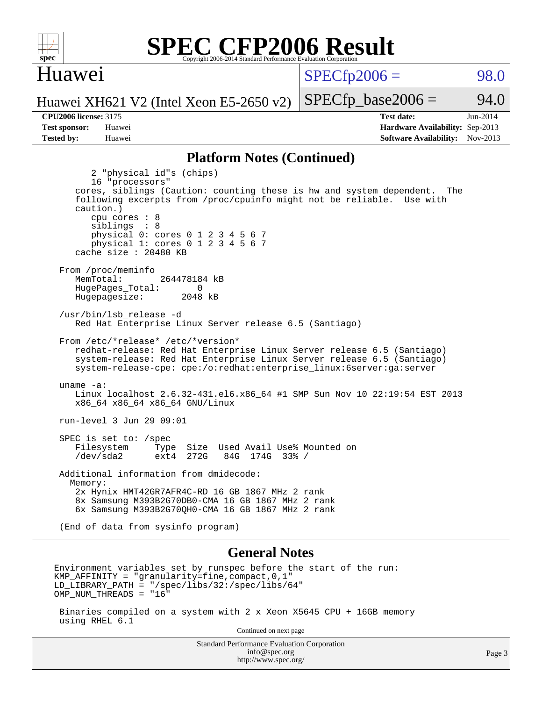

#### Huawei

 $SPECTp2006 = 98.0$ 

Huawei XH621 V2 (Intel Xeon E5-2650 v2)

**[Tested by:](http://www.spec.org/auto/cpu2006/Docs/result-fields.html#Testedby)** Huawei **[Software Availability:](http://www.spec.org/auto/cpu2006/Docs/result-fields.html#SoftwareAvailability)** Nov-2013

**[CPU2006 license:](http://www.spec.org/auto/cpu2006/Docs/result-fields.html#CPU2006license)** 3175 **[Test date:](http://www.spec.org/auto/cpu2006/Docs/result-fields.html#Testdate)** Jun-2014 **[Test sponsor:](http://www.spec.org/auto/cpu2006/Docs/result-fields.html#Testsponsor)** Huawei **[Hardware Availability:](http://www.spec.org/auto/cpu2006/Docs/result-fields.html#HardwareAvailability)** Sep-2013

 $SPECTp\_base2006 = 94.0$ 

#### **[Platform Notes \(Continued\)](http://www.spec.org/auto/cpu2006/Docs/result-fields.html#PlatformNotes)**

 2 "physical id"s (chips) 16 "processors" cores, siblings (Caution: counting these is hw and system dependent. The following excerpts from /proc/cpuinfo might not be reliable. Use with caution.) cpu cores : 8 siblings : 8 physical 0: cores 0 1 2 3 4 5 6 7 physical 1: cores 0 1 2 3 4 5 6 7 cache size : 20480 KB From /proc/meminfo MemTotal: 264478184 kB HugePages\_Total: 0<br>Hugepagesize: 2048 kB Hugepagesize: /usr/bin/lsb\_release -d Red Hat Enterprise Linux Server release 6.5 (Santiago) From /etc/\*release\* /etc/\*version\* redhat-release: Red Hat Enterprise Linux Server release 6.5 (Santiago) system-release: Red Hat Enterprise Linux Server release 6.5 (Santiago) system-release-cpe: cpe:/o:redhat:enterprise\_linux:6server:ga:server uname -a: Linux localhost 2.6.32-431.el6.x86\_64 #1 SMP Sun Nov 10 22:19:54 EST 2013 x86\_64 x86\_64 x86\_64 GNU/Linux run-level 3 Jun 29 09:01 SPEC is set to: /spec<br>Filesystem Type Type Size Used Avail Use% Mounted on<br>ext4 272G 84G 174G 33% / /dev/sda2 ext4 272G 84G 174G 33% / Additional information from dmidecode: Memory: 2x Hynix HMT42GR7AFR4C-RD 16 GB 1867 MHz 2 rank 8x Samsung M393B2G70DB0-CMA 16 GB 1867 MHz 2 rank 6x Samsung M393B2G70QH0-CMA 16 GB 1867 MHz 2 rank (End of data from sysinfo program) **[General Notes](http://www.spec.org/auto/cpu2006/Docs/result-fields.html#GeneralNotes)** Environment variables set by runspec before the start of the run: KMP AFFINITY = "granularity=fine, compact,  $0,1$ " LD\_LIBRARY\_PATH = "/spec/libs/32:/spec/libs/64" OMP\_NUM\_THREADS = "16"

 Binaries compiled on a system with 2 x Xeon X5645 CPU + 16GB memory using RHEL 6.1

Continued on next page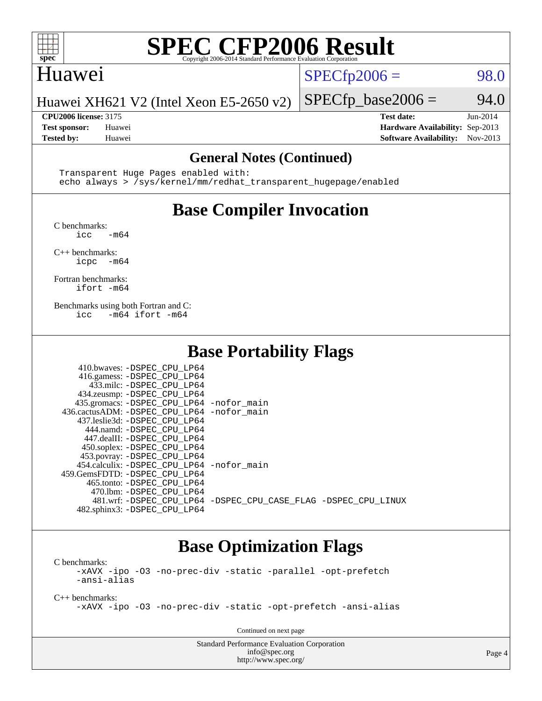

## Huawei

 $SPECfp2006 = 98.0$  $SPECfp2006 = 98.0$ 

Huawei XH621 V2 (Intel Xeon E5-2650 v2)

**[Tested by:](http://www.spec.org/auto/cpu2006/Docs/result-fields.html#Testedby)** Huawei **[Software Availability:](http://www.spec.org/auto/cpu2006/Docs/result-fields.html#SoftwareAvailability)** Nov-2013

 $SPECfp\_base2006 = 94.0$ **[CPU2006 license:](http://www.spec.org/auto/cpu2006/Docs/result-fields.html#CPU2006license)** 3175 **[Test date:](http://www.spec.org/auto/cpu2006/Docs/result-fields.html#Testdate)** Jun-2014 **[Test sponsor:](http://www.spec.org/auto/cpu2006/Docs/result-fields.html#Testsponsor)** Huawei **[Hardware Availability:](http://www.spec.org/auto/cpu2006/Docs/result-fields.html#HardwareAvailability)** Sep-2013

#### **[General Notes \(Continued\)](http://www.spec.org/auto/cpu2006/Docs/result-fields.html#GeneralNotes)**

 Transparent Huge Pages enabled with: echo always > /sys/kernel/mm/redhat\_transparent\_hugepage/enabled

## **[Base Compiler Invocation](http://www.spec.org/auto/cpu2006/Docs/result-fields.html#BaseCompilerInvocation)**

[C benchmarks](http://www.spec.org/auto/cpu2006/Docs/result-fields.html#Cbenchmarks):

 $\text{icc}$  -m64

[C++ benchmarks:](http://www.spec.org/auto/cpu2006/Docs/result-fields.html#CXXbenchmarks) [icpc -m64](http://www.spec.org/cpu2006/results/res2014q3/cpu2006-20140630-30123.flags.html#user_CXXbase_intel_icpc_64bit_bedb90c1146cab66620883ef4f41a67e)

[Fortran benchmarks](http://www.spec.org/auto/cpu2006/Docs/result-fields.html#Fortranbenchmarks): [ifort -m64](http://www.spec.org/cpu2006/results/res2014q3/cpu2006-20140630-30123.flags.html#user_FCbase_intel_ifort_64bit_ee9d0fb25645d0210d97eb0527dcc06e)

[Benchmarks using both Fortran and C](http://www.spec.org/auto/cpu2006/Docs/result-fields.html#BenchmarksusingbothFortranandC): [icc -m64](http://www.spec.org/cpu2006/results/res2014q3/cpu2006-20140630-30123.flags.html#user_CC_FCbase_intel_icc_64bit_0b7121f5ab7cfabee23d88897260401c) [ifort -m64](http://www.spec.org/cpu2006/results/res2014q3/cpu2006-20140630-30123.flags.html#user_CC_FCbase_intel_ifort_64bit_ee9d0fb25645d0210d97eb0527dcc06e)

#### **[Base Portability Flags](http://www.spec.org/auto/cpu2006/Docs/result-fields.html#BasePortabilityFlags)**

| 410.bwaves: -DSPEC CPU LP64                  |                                                                |
|----------------------------------------------|----------------------------------------------------------------|
| 416.gamess: -DSPEC_CPU_LP64                  |                                                                |
| 433.milc: -DSPEC CPU LP64                    |                                                                |
| 434.zeusmp: -DSPEC_CPU_LP64                  |                                                                |
| 435.gromacs: -DSPEC_CPU_LP64 -nofor_main     |                                                                |
| 436.cactusADM: - DSPEC CPU LP64 - nofor main |                                                                |
| 437.leslie3d: -DSPEC CPU LP64                |                                                                |
| 444.namd: -DSPEC CPU LP64                    |                                                                |
| 447.dealII: -DSPEC CPU LP64                  |                                                                |
| 450.soplex: -DSPEC_CPU_LP64                  |                                                                |
| 453.povray: -DSPEC_CPU_LP64                  |                                                                |
| 454.calculix: -DSPEC_CPU_LP64 -nofor_main    |                                                                |
| 459. GemsFDTD: - DSPEC CPU LP64              |                                                                |
| 465.tonto: -DSPEC CPU LP64                   |                                                                |
| 470.1bm: - DSPEC CPU LP64                    |                                                                |
|                                              | 481.wrf: -DSPEC CPU_LP64 -DSPEC_CPU_CASE_FLAG -DSPEC_CPU_LINUX |
| 482.sphinx3: -DSPEC_CPU_LP64                 |                                                                |

### **[Base Optimization Flags](http://www.spec.org/auto/cpu2006/Docs/result-fields.html#BaseOptimizationFlags)**

[C benchmarks](http://www.spec.org/auto/cpu2006/Docs/result-fields.html#Cbenchmarks): [-xAVX](http://www.spec.org/cpu2006/results/res2014q3/cpu2006-20140630-30123.flags.html#user_CCbase_f-xAVX) [-ipo](http://www.spec.org/cpu2006/results/res2014q3/cpu2006-20140630-30123.flags.html#user_CCbase_f-ipo) [-O3](http://www.spec.org/cpu2006/results/res2014q3/cpu2006-20140630-30123.flags.html#user_CCbase_f-O3) [-no-prec-div](http://www.spec.org/cpu2006/results/res2014q3/cpu2006-20140630-30123.flags.html#user_CCbase_f-no-prec-div) [-static](http://www.spec.org/cpu2006/results/res2014q3/cpu2006-20140630-30123.flags.html#user_CCbase_f-static) [-parallel](http://www.spec.org/cpu2006/results/res2014q3/cpu2006-20140630-30123.flags.html#user_CCbase_f-parallel) [-opt-prefetch](http://www.spec.org/cpu2006/results/res2014q3/cpu2006-20140630-30123.flags.html#user_CCbase_f-opt-prefetch) [-ansi-alias](http://www.spec.org/cpu2006/results/res2014q3/cpu2006-20140630-30123.flags.html#user_CCbase_f-ansi-alias)

[C++ benchmarks:](http://www.spec.org/auto/cpu2006/Docs/result-fields.html#CXXbenchmarks) [-xAVX](http://www.spec.org/cpu2006/results/res2014q3/cpu2006-20140630-30123.flags.html#user_CXXbase_f-xAVX) [-ipo](http://www.spec.org/cpu2006/results/res2014q3/cpu2006-20140630-30123.flags.html#user_CXXbase_f-ipo) [-O3](http://www.spec.org/cpu2006/results/res2014q3/cpu2006-20140630-30123.flags.html#user_CXXbase_f-O3) [-no-prec-div](http://www.spec.org/cpu2006/results/res2014q3/cpu2006-20140630-30123.flags.html#user_CXXbase_f-no-prec-div) [-static](http://www.spec.org/cpu2006/results/res2014q3/cpu2006-20140630-30123.flags.html#user_CXXbase_f-static) [-opt-prefetch](http://www.spec.org/cpu2006/results/res2014q3/cpu2006-20140630-30123.flags.html#user_CXXbase_f-opt-prefetch) [-ansi-alias](http://www.spec.org/cpu2006/results/res2014q3/cpu2006-20140630-30123.flags.html#user_CXXbase_f-ansi-alias)

Continued on next page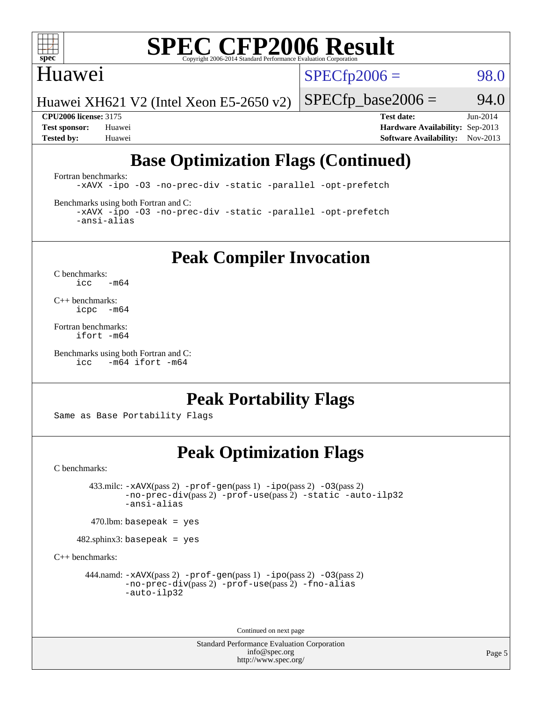

#### Huawei

 $SPECTp2006 = 98.0$ 

Huawei XH621 V2 (Intel Xeon E5-2650 v2)

 $SPECfp\_base2006 = 94.0$ **[CPU2006 license:](http://www.spec.org/auto/cpu2006/Docs/result-fields.html#CPU2006license)** 3175 **[Test date:](http://www.spec.org/auto/cpu2006/Docs/result-fields.html#Testdate)** Jun-2014 **[Test sponsor:](http://www.spec.org/auto/cpu2006/Docs/result-fields.html#Testsponsor)** Huawei **[Hardware Availability:](http://www.spec.org/auto/cpu2006/Docs/result-fields.html#HardwareAvailability)** Sep-2013

## **[Base Optimization Flags \(Continued\)](http://www.spec.org/auto/cpu2006/Docs/result-fields.html#BaseOptimizationFlags)**

**[Tested by:](http://www.spec.org/auto/cpu2006/Docs/result-fields.html#Testedby)** Huawei **[Software Availability:](http://www.spec.org/auto/cpu2006/Docs/result-fields.html#SoftwareAvailability)** Nov-2013

[Fortran benchmarks](http://www.spec.org/auto/cpu2006/Docs/result-fields.html#Fortranbenchmarks): [-xAVX](http://www.spec.org/cpu2006/results/res2014q3/cpu2006-20140630-30123.flags.html#user_FCbase_f-xAVX) [-ipo](http://www.spec.org/cpu2006/results/res2014q3/cpu2006-20140630-30123.flags.html#user_FCbase_f-ipo) [-O3](http://www.spec.org/cpu2006/results/res2014q3/cpu2006-20140630-30123.flags.html#user_FCbase_f-O3) [-no-prec-div](http://www.spec.org/cpu2006/results/res2014q3/cpu2006-20140630-30123.flags.html#user_FCbase_f-no-prec-div) [-static](http://www.spec.org/cpu2006/results/res2014q3/cpu2006-20140630-30123.flags.html#user_FCbase_f-static) [-parallel](http://www.spec.org/cpu2006/results/res2014q3/cpu2006-20140630-30123.flags.html#user_FCbase_f-parallel) [-opt-prefetch](http://www.spec.org/cpu2006/results/res2014q3/cpu2006-20140630-30123.flags.html#user_FCbase_f-opt-prefetch)

[Benchmarks using both Fortran and C](http://www.spec.org/auto/cpu2006/Docs/result-fields.html#BenchmarksusingbothFortranandC):

[-xAVX](http://www.spec.org/cpu2006/results/res2014q3/cpu2006-20140630-30123.flags.html#user_CC_FCbase_f-xAVX) [-ipo](http://www.spec.org/cpu2006/results/res2014q3/cpu2006-20140630-30123.flags.html#user_CC_FCbase_f-ipo) [-O3](http://www.spec.org/cpu2006/results/res2014q3/cpu2006-20140630-30123.flags.html#user_CC_FCbase_f-O3) [-no-prec-div](http://www.spec.org/cpu2006/results/res2014q3/cpu2006-20140630-30123.flags.html#user_CC_FCbase_f-no-prec-div) [-static](http://www.spec.org/cpu2006/results/res2014q3/cpu2006-20140630-30123.flags.html#user_CC_FCbase_f-static) [-parallel](http://www.spec.org/cpu2006/results/res2014q3/cpu2006-20140630-30123.flags.html#user_CC_FCbase_f-parallel) [-opt-prefetch](http://www.spec.org/cpu2006/results/res2014q3/cpu2006-20140630-30123.flags.html#user_CC_FCbase_f-opt-prefetch) [-ansi-alias](http://www.spec.org/cpu2006/results/res2014q3/cpu2006-20140630-30123.flags.html#user_CC_FCbase_f-ansi-alias)

**[Peak Compiler Invocation](http://www.spec.org/auto/cpu2006/Docs/result-fields.html#PeakCompilerInvocation)**

[C benchmarks](http://www.spec.org/auto/cpu2006/Docs/result-fields.html#Cbenchmarks):  $\text{icc}$  -m64

[C++ benchmarks:](http://www.spec.org/auto/cpu2006/Docs/result-fields.html#CXXbenchmarks) [icpc -m64](http://www.spec.org/cpu2006/results/res2014q3/cpu2006-20140630-30123.flags.html#user_CXXpeak_intel_icpc_64bit_bedb90c1146cab66620883ef4f41a67e)

[Fortran benchmarks](http://www.spec.org/auto/cpu2006/Docs/result-fields.html#Fortranbenchmarks): [ifort -m64](http://www.spec.org/cpu2006/results/res2014q3/cpu2006-20140630-30123.flags.html#user_FCpeak_intel_ifort_64bit_ee9d0fb25645d0210d97eb0527dcc06e)

```
Benchmarks using both Fortran and C: 
     icc -m64 ifort -m64
```
### **[Peak Portability Flags](http://www.spec.org/auto/cpu2006/Docs/result-fields.html#PeakPortabilityFlags)**

Same as Base Portability Flags

### **[Peak Optimization Flags](http://www.spec.org/auto/cpu2006/Docs/result-fields.html#PeakOptimizationFlags)**

[C benchmarks](http://www.spec.org/auto/cpu2006/Docs/result-fields.html#Cbenchmarks):

 433.milc: [-xAVX](http://www.spec.org/cpu2006/results/res2014q3/cpu2006-20140630-30123.flags.html#user_peakPASS2_CFLAGSPASS2_LDFLAGS433_milc_f-xAVX)(pass 2) [-prof-gen](http://www.spec.org/cpu2006/results/res2014q3/cpu2006-20140630-30123.flags.html#user_peakPASS1_CFLAGSPASS1_LDFLAGS433_milc_prof_gen_e43856698f6ca7b7e442dfd80e94a8fc)(pass 1) [-ipo](http://www.spec.org/cpu2006/results/res2014q3/cpu2006-20140630-30123.flags.html#user_peakPASS2_CFLAGSPASS2_LDFLAGS433_milc_f-ipo)(pass 2) [-O3](http://www.spec.org/cpu2006/results/res2014q3/cpu2006-20140630-30123.flags.html#user_peakPASS2_CFLAGSPASS2_LDFLAGS433_milc_f-O3)(pass 2) [-no-prec-div](http://www.spec.org/cpu2006/results/res2014q3/cpu2006-20140630-30123.flags.html#user_peakPASS2_CFLAGSPASS2_LDFLAGS433_milc_f-no-prec-div)(pass 2) [-prof-use](http://www.spec.org/cpu2006/results/res2014q3/cpu2006-20140630-30123.flags.html#user_peakPASS2_CFLAGSPASS2_LDFLAGS433_milc_prof_use_bccf7792157ff70d64e32fe3e1250b55)(pass 2) [-static](http://www.spec.org/cpu2006/results/res2014q3/cpu2006-20140630-30123.flags.html#user_peakOPTIMIZE433_milc_f-static) [-auto-ilp32](http://www.spec.org/cpu2006/results/res2014q3/cpu2006-20140630-30123.flags.html#user_peakCOPTIMIZE433_milc_f-auto-ilp32) [-ansi-alias](http://www.spec.org/cpu2006/results/res2014q3/cpu2006-20140630-30123.flags.html#user_peakCOPTIMIZE433_milc_f-ansi-alias)

 $470$ .lbm: basepeak = yes

482.sphinx3: basepeak = yes

[C++ benchmarks:](http://www.spec.org/auto/cpu2006/Docs/result-fields.html#CXXbenchmarks)

444.namd:  $-x$ AVX(pass 2)  $-p$ rof-gen(pass 1)  $-p$ po(pass 2)  $-03$ (pass 2) [-no-prec-div](http://www.spec.org/cpu2006/results/res2014q3/cpu2006-20140630-30123.flags.html#user_peakPASS2_CXXFLAGSPASS2_LDFLAGS444_namd_f-no-prec-div)(pass 2) [-prof-use](http://www.spec.org/cpu2006/results/res2014q3/cpu2006-20140630-30123.flags.html#user_peakPASS2_CXXFLAGSPASS2_LDFLAGS444_namd_prof_use_bccf7792157ff70d64e32fe3e1250b55)(pass 2) [-fno-alias](http://www.spec.org/cpu2006/results/res2014q3/cpu2006-20140630-30123.flags.html#user_peakCXXOPTIMIZEOPTIMIZE444_namd_f-no-alias_694e77f6c5a51e658e82ccff53a9e63a) [-auto-ilp32](http://www.spec.org/cpu2006/results/res2014q3/cpu2006-20140630-30123.flags.html#user_peakCXXOPTIMIZE444_namd_f-auto-ilp32)

Continued on next page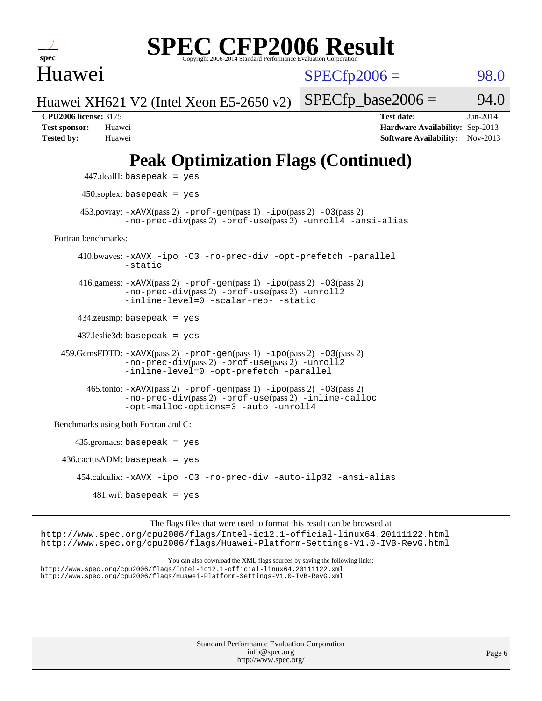

Huawei

 $SPECfp2006 = 98.0$  $SPECfp2006 = 98.0$ 

Huawei XH621 V2 (Intel Xeon E5-2650 v2)

**[CPU2006 license:](http://www.spec.org/auto/cpu2006/Docs/result-fields.html#CPU2006license)** 3175 **[Test date:](http://www.spec.org/auto/cpu2006/Docs/result-fields.html#Testdate)** Jun-2014 **[Test sponsor:](http://www.spec.org/auto/cpu2006/Docs/result-fields.html#Testsponsor)** Huawei **[Hardware Availability:](http://www.spec.org/auto/cpu2006/Docs/result-fields.html#HardwareAvailability)** Sep-2013 **[Tested by:](http://www.spec.org/auto/cpu2006/Docs/result-fields.html#Testedby)** Huawei **[Software Availability:](http://www.spec.org/auto/cpu2006/Docs/result-fields.html#SoftwareAvailability)** Nov-2013

 $SPECTp\_base2006 = 94.0$ 

## **[Peak Optimization Flags \(Continued\)](http://www.spec.org/auto/cpu2006/Docs/result-fields.html#PeakOptimizationFlags)**

```
 447.dealII: basepeak = yes
          450.soplex: basepeak = yes
        453.povray: -xAVX(pass 2) -prof-gen(pass 1) -ipo(pass 2) -03(pass 2)
                  -no-prec-div(pass 2) -prof-use(pass 2) -unroll4 -ansi-alias
   Fortran benchmarks: 
         410.bwaves: -xAVX -ipo -O3 -no-prec-div -opt-prefetch -parallel
                  -static
         416.gamess: -xAVX(pass 2) -prof-gen(pass 1) -ipo(pass 2) -O3(pass 2)
                  -no-prec-div(pass 2) -prof-use(pass 2) -unroll2
                  -inline-level=0 -scalar-rep- -static
         434.zeusmp: basepeak = yes
         437.leslie3d: basepeak = yes
     459.GemsFDTD: -xAVX(pass 2) -prof-gen(pass 1) -ipo(pass 2) -O3(pass 2)
                  -no-prec-div(pass 2) -prof-use(pass 2) -unroll2
                  -inline-level=0 -opt-prefetch -parallel
          465.tonto: -xAVX(pass 2) -prof-gen(pass 1) -po(pass 2) -03(pass 2)
                  -no-prec-div(pass 2) -prof-use(pass 2) -inline-calloc
                  -opt-malloc-options=3-auto-unroll4
   Benchmarks using both Fortran and C: 
        435.gromacs: basepeak = yes
    436.cactusADM:basepeak = yes 454.calculix: -xAVX -ipo -O3 -no-prec-div -auto-ilp32 -ansi-alias
           481 \text{.m}: basepeak = yes
                        The flags files that were used to format this result can be browsed at
http://www.spec.org/cpu2006/flags/Intel-ic12.1-official-linux64.20111122.html
http://www.spec.org/cpu2006/flags/Huawei-Platform-Settings-V1.0-IVB-RevG.html
```
You can also download the XML flags sources by saving the following links: <http://www.spec.org/cpu2006/flags/Intel-ic12.1-official-linux64.20111122.xml> <http://www.spec.org/cpu2006/flags/Huawei-Platform-Settings-V1.0-IVB-RevG.xml>